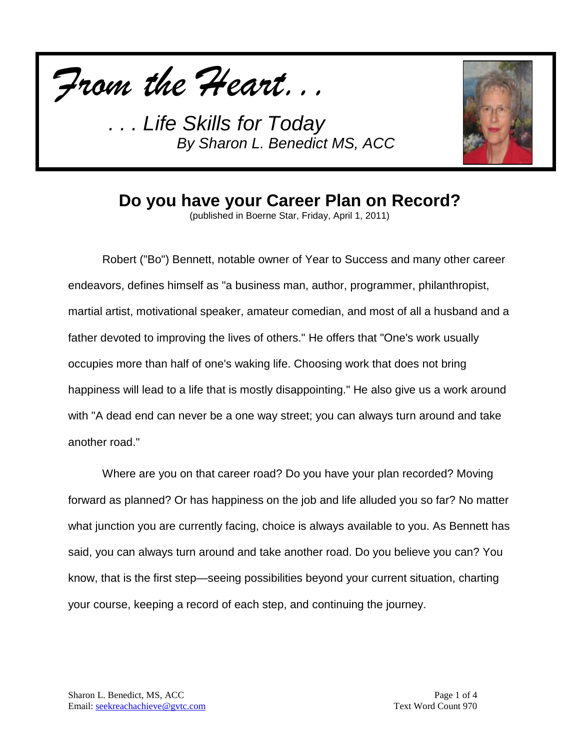



#### **Do you have your Career Plan on Record?**

(published in Boerne Star, Friday, April 1, 2011)

Robert ("Bo") Bennett, notable owner of Year to Success and many other career endeavors, defines himself as "a business man, author, programmer, philanthropist, martial artist, motivational speaker, amateur comedian, and most of all a husband and a father devoted to improving the lives of others." He offers that "One's work usually occupies more than half of one's waking life. Choosing work that does not bring happiness will lead to a life that is mostly disappointing." He also give us a work around with "A dead end can never be a one way street; you can always turn around and take another road."

Where are you on that career road? Do you have your plan recorded? Moving forward as planned? Or has happiness on the job and life alluded you so far? No matter what junction you are currently facing, choice is always available to you. As Bennett has said, you can always turn around and take another road. Do you believe you can? You know, that is the first step—seeing possibilities beyond your current situation, charting your course, keeping a record of each step, and continuing the journey.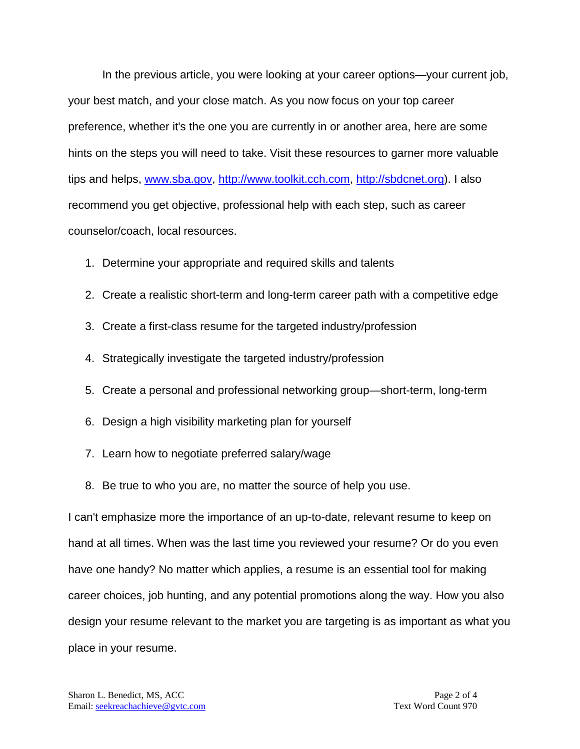In the previous article, you were looking at your career options—your current job, your best match, and your close match. As you now focus on your top career preference, whether it's the one you are currently in or another area, here are some hints on the steps you will need to take. Visit these resources to garner more valuable tips and helps, [www.sba.gov,](http://www.sba.gov/) [http://www.toolkit.cch.com,](http://www.toolkit.cch.com/) [http://sbdcnet.org\)](http://sbdcnet.org/). I also recommend you get objective, professional help with each step, such as career counselor/coach, local resources.

- 1. Determine your appropriate and required skills and talents
- 2. Create a realistic short-term and long-term career path with a competitive edge
- 3. Create a first-class resume for the targeted industry/profession
- 4. Strategically investigate the targeted industry/profession
- 5. Create a personal and professional networking group—short-term, long-term
- 6. Design a high visibility marketing plan for yourself
- 7. Learn how to negotiate preferred salary/wage
- 8. Be true to who you are, no matter the source of help you use.

I can't emphasize more the importance of an up-to-date, relevant resume to keep on hand at all times. When was the last time you reviewed your resume? Or do you even have one handy? No matter which applies, a resume is an essential tool for making career choices, job hunting, and any potential promotions along the way. How you also design your resume relevant to the market you are targeting is as important as what you place in your resume.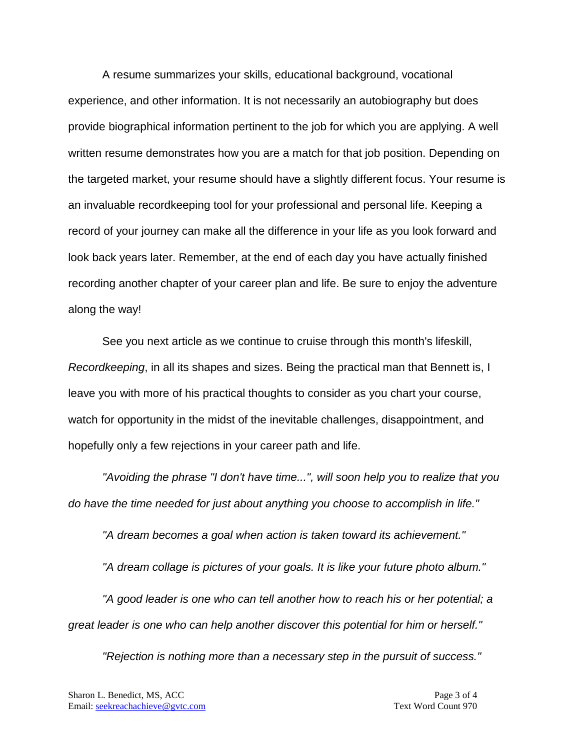A resume summarizes your skills, educational background, vocational experience, and other information. It is not necessarily an autobiography but does provide biographical information pertinent to the job for which you are applying. A well written resume demonstrates how you are a match for that job position. Depending on the targeted market, your resume should have a slightly different focus. Your resume is an invaluable recordkeeping tool for your professional and personal life. Keeping a record of your journey can make all the difference in your life as you look forward and look back years later. Remember, at the end of each day you have actually finished recording another chapter of your career plan and life. Be sure to enjoy the adventure along the way!

See you next article as we continue to cruise through this month's lifeskill, *Recordkeeping*, in all its shapes and sizes. Being the practical man that Bennett is, I leave you with more of his practical thoughts to consider as you chart your course, watch for opportunity in the midst of the inevitable challenges, disappointment, and hopefully only a few rejections in your career path and life.

*"Avoiding the phrase "I don't have time...", will soon help you to realize that you do have the time needed for just about anything you choose to accomplish in life."*

*"A dream becomes a goal when action is taken toward its achievement."*

*"A dream collage is pictures of your goals. It is like your future photo album."*

*"A good leader is one who can tell another how to reach his or her potential; a great leader is one who can help another discover this potential for him or herself."*

*"Rejection is nothing more than a necessary step in the pursuit of success."*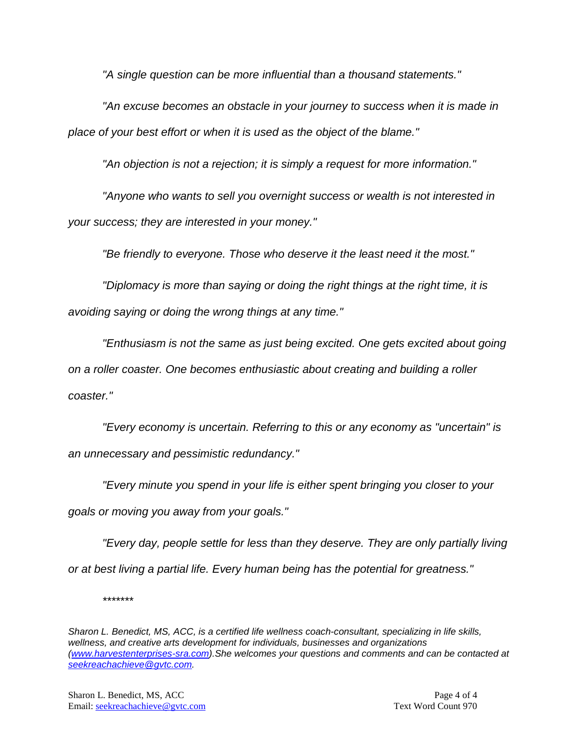*"A single question can be more influential than a thousand statements."*

*"An excuse becomes an obstacle in your journey to success when it is made in place of your best effort or when it is used as the object of the blame."*

*"An objection is not a rejection; it is simply a request for more information."*

*"Anyone who wants to sell you overnight success or wealth is not interested in your success; they are interested in your money."*

*"Be friendly to everyone. Those who deserve it the least need it the most."*

*"Diplomacy is more than saying or doing the right things at the right time, it is avoiding saying or doing the wrong things at any time."*

*"Enthusiasm is not the same as just being excited. One gets excited about going on a roller coaster. One becomes enthusiastic about creating and building a roller coaster."*

*"Every economy is uncertain. Referring to this or any economy as "uncertain" is an unnecessary and pessimistic redundancy."*

*"Every minute you spend in your life is either spent bringing you closer to your goals or moving you away from your goals."*

*"Every day, people settle for less than they deserve. They are only partially living or at best living a partial life. Every human being has the potential for greatness."*

*\*\*\*\*\*\*\**

*Sharon L. Benedict, MS, ACC, is a certified life wellness coach-consultant, specializing in life skills, wellness, and creative arts development for individuals, businesses and organizations [\(www.harvestenterprises-sra.com\)](http://www.harvestenterprises-sra.com/).She welcomes your questions and comments and can be contacted at [seekreachachieve@gvtc.com.](mailto:seekreachachieve@gvtc.com)*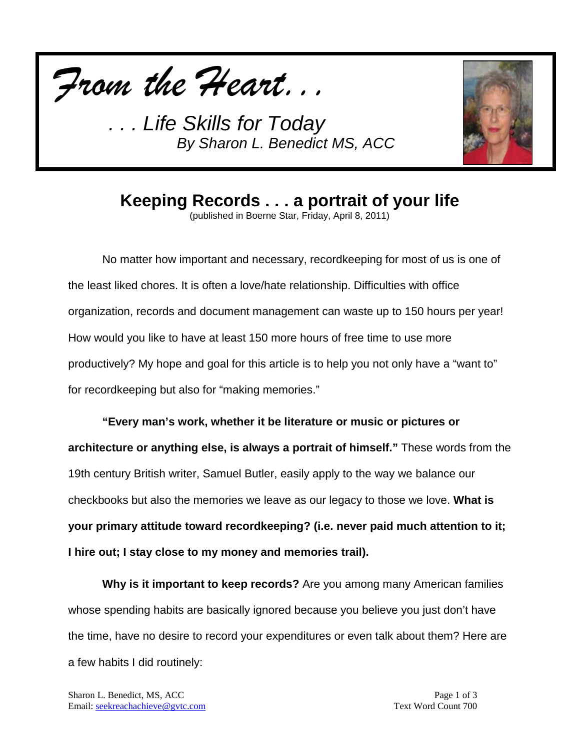



## **Keeping Records . . . a portrait of your life**

(published in Boerne Star, Friday, April 8, 2011)

No matter how important and necessary, recordkeeping for most of us is one of the least liked chores. It is often a love/hate relationship. Difficulties with office organization, records and document management can waste up to 150 hours per year! How would you like to have at least 150 more hours of free time to use more productively? My hope and goal for this article is to help you not only have a "want to" for recordkeeping but also for "making memories."

**"Every man's work, whether it be literature or music or pictures or architecture or anything else, is always a portrait of himself."** These words from the 19th century British writer, Samuel Butler, easily apply to the way we balance our checkbooks but also the memories we leave as our legacy to those we love. **What is your primary attitude toward recordkeeping? (i.e. never paid much attention to it; I hire out; I stay close to my money and memories trail).**

**Why is it important to keep records?** Are you among many American families whose spending habits are basically ignored because you believe you just don't have the time, have no desire to record your expenditures or even talk about them? Here are a few habits I did routinely: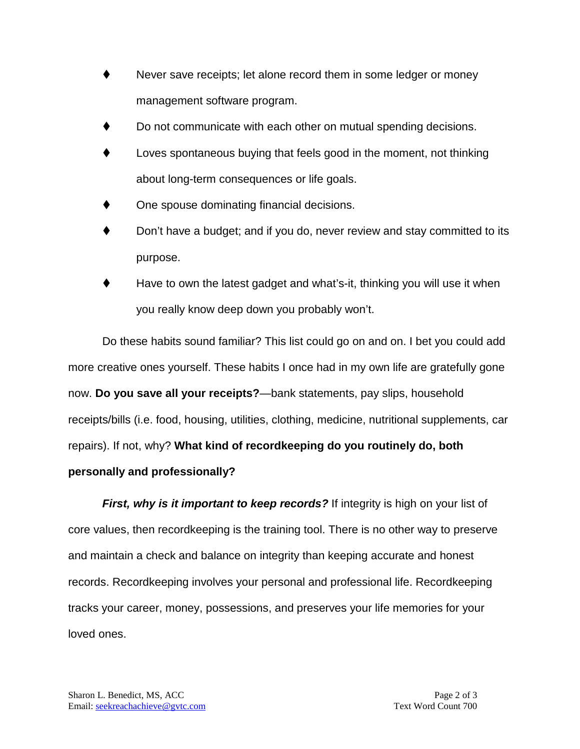- Never save receipts; let alone record them in some ledger or money management software program.
- Do not communicate with each other on mutual spending decisions.
- Loves spontaneous buying that feels good in the moment, not thinking about long-term consequences or life goals.
- One spouse dominating financial decisions.
- Don't have a budget; and if you do, never review and stay committed to its purpose.
- Have to own the latest gadget and what's-it, thinking you will use it when you really know deep down you probably won't.

Do these habits sound familiar? This list could go on and on. I bet you could add more creative ones yourself. These habits I once had in my own life are gratefully gone now. **Do you save all your receipts?**—bank statements, pay slips, household receipts/bills (i.e. food, housing, utilities, clothing, medicine, nutritional supplements, car repairs). If not, why? **What kind of recordkeeping do you routinely do, both personally and professionally?**

*First, why is it important to keep records?* If integrity is high on your list of core values, then recordkeeping is the training tool. There is no other way to preserve and maintain a check and balance on integrity than keeping accurate and honest records. Recordkeeping involves your personal and professional life. Recordkeeping tracks your career, money, possessions, and preserves your life memories for your loved ones.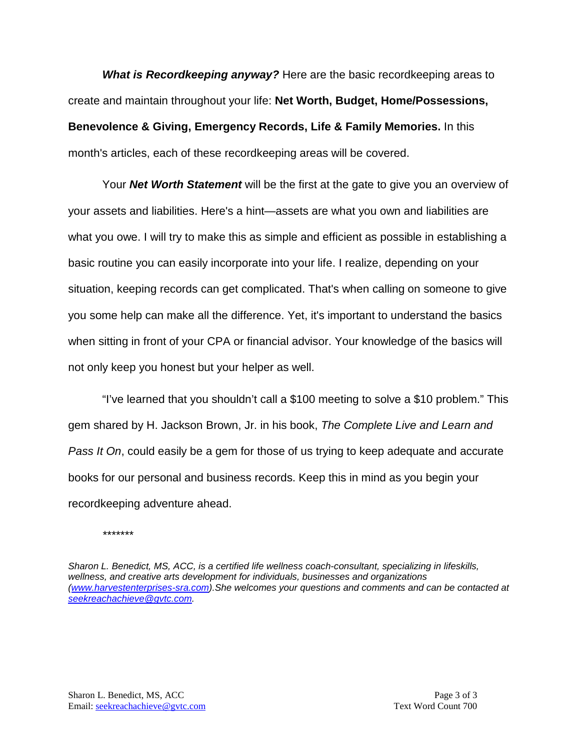*What is Recordkeeping anyway?* Here are the basic recordkeeping areas to create and maintain throughout your life: **Net Worth, Budget, Home/Possessions, Benevolence & Giving, Emergency Records, Life & Family Memories.** In this month's articles, each of these recordkeeping areas will be covered.

Your *Net Worth Statement* will be the first at the gate to give you an overview of your assets and liabilities. Here's a hint—assets are what you own and liabilities are what you owe. I will try to make this as simple and efficient as possible in establishing a basic routine you can easily incorporate into your life. I realize, depending on your situation, keeping records can get complicated. That's when calling on someone to give you some help can make all the difference. Yet, it's important to understand the basics when sitting in front of your CPA or financial advisor. Your knowledge of the basics will not only keep you honest but your helper as well.

"I've learned that you shouldn't call a \$100 meeting to solve a \$10 problem." This gem shared by H. Jackson Brown, Jr. in his book, *The Complete Live and Learn and Pass It On*, could easily be a gem for those of us trying to keep adequate and accurate books for our personal and business records. Keep this in mind as you begin your recordkeeping adventure ahead.

*\*\*\*\*\*\*\**

*Sharon L. Benedict, MS, ACC, is a certified life wellness coach-consultant, specializing in lifeskills, wellness, and creative arts development for individuals, businesses and organizations [\(www.harvestenterprises-sra.com\)](http://www.harvestenterprises-sra.com/).She welcomes your questions and comments and can be contacted at [seekreachachieve@gvtc.com.](mailto:seekreachachieve@gvtc.com)*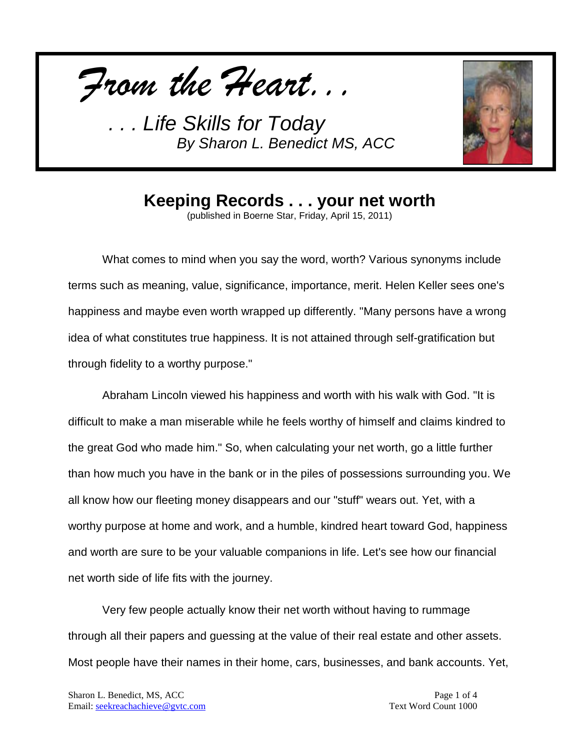*From the Heart...*



#### **Keeping Records . . . your net worth**

(published in Boerne Star, Friday, April 15, 2011)

What comes to mind when you say the word, worth? Various synonyms include terms such as meaning, value, significance, importance, merit. Helen Keller sees one's happiness and maybe even worth wrapped up differently. "Many persons have a wrong idea of what constitutes true happiness. It is not attained through self-gratification but through fidelity to a worthy purpose."

Abraham Lincoln viewed his happiness and worth with his walk with God. "It is difficult to make a man miserable while he feels worthy of himself and claims kindred to the great God who made him." So, when calculating your net worth, go a little further than how much you have in the bank or in the piles of possessions surrounding you. We all know how our fleeting money disappears and our "stuff" wears out. Yet, with a worthy purpose at home and work, and a humble, kindred heart toward God, happiness and worth are sure to be your valuable companions in life. Let's see how our financial net worth side of life fits with the journey.

Very few people actually know their net worth without having to rummage through all their papers and guessing at the value of their real estate and other assets. Most people have their names in their home, cars, businesses, and bank accounts. Yet,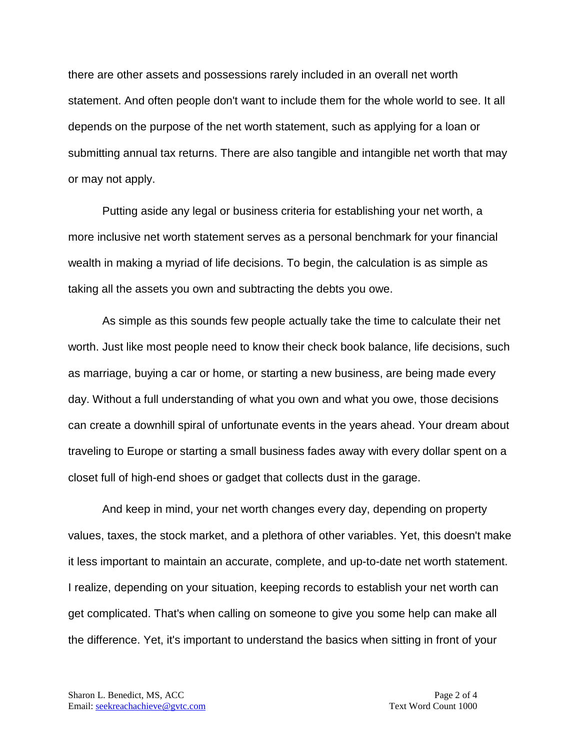there are other assets and possessions rarely included in an overall net worth statement. And often people don't want to include them for the whole world to see. It all depends on the purpose of the net worth statement, such as applying for a loan or submitting annual tax returns. There are also tangible and intangible net worth that may or may not apply.

Putting aside any legal or business criteria for establishing your net worth, a more inclusive net worth statement serves as a personal benchmark for your financial wealth in making a myriad of life decisions. To begin, the calculation is as simple as taking all the assets you own and subtracting the debts you owe.

As simple as this sounds few people actually take the time to calculate their net worth. Just like most people need to know their check book balance, life decisions, such as marriage, buying a car or home, or starting a new business, are being made every day. Without a full understanding of what you own and what you owe, those decisions can create a downhill spiral of unfortunate events in the years ahead. Your dream about traveling to Europe or starting a small business fades away with every dollar spent on a closet full of high-end shoes or gadget that collects dust in the garage.

And keep in mind, your net worth changes every day, depending on property values, taxes, the stock market, and a plethora of other variables. Yet, this doesn't make it less important to maintain an accurate, complete, and up-to-date net worth statement. I realize, depending on your situation, keeping records to establish your net worth can get complicated. That's when calling on someone to give you some help can make all the difference. Yet, it's important to understand the basics when sitting in front of your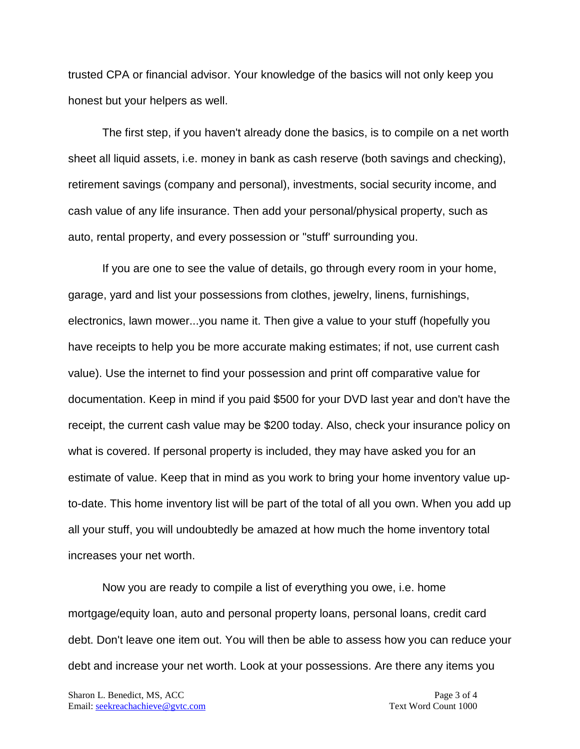trusted CPA or financial advisor. Your knowledge of the basics will not only keep you honest but your helpers as well.

The first step, if you haven't already done the basics, is to compile on a net worth sheet all liquid assets, i.e. money in bank as cash reserve (both savings and checking), retirement savings (company and personal), investments, social security income, and cash value of any life insurance. Then add your personal/physical property, such as auto, rental property, and every possession or "stuff' surrounding you.

If you are one to see the value of details, go through every room in your home, garage, yard and list your possessions from clothes, jewelry, linens, furnishings, electronics, lawn mower...you name it. Then give a value to your stuff (hopefully you have receipts to help you be more accurate making estimates; if not, use current cash value). Use the internet to find your possession and print off comparative value for documentation. Keep in mind if you paid \$500 for your DVD last year and don't have the receipt, the current cash value may be \$200 today. Also, check your insurance policy on what is covered. If personal property is included, they may have asked you for an estimate of value. Keep that in mind as you work to bring your home inventory value upto-date. This home inventory list will be part of the total of all you own. When you add up all your stuff, you will undoubtedly be amazed at how much the home inventory total increases your net worth.

Now you are ready to compile a list of everything you owe, i.e. home mortgage/equity loan, auto and personal property loans, personal loans, credit card debt. Don't leave one item out. You will then be able to assess how you can reduce your debt and increase your net worth. Look at your possessions. Are there any items you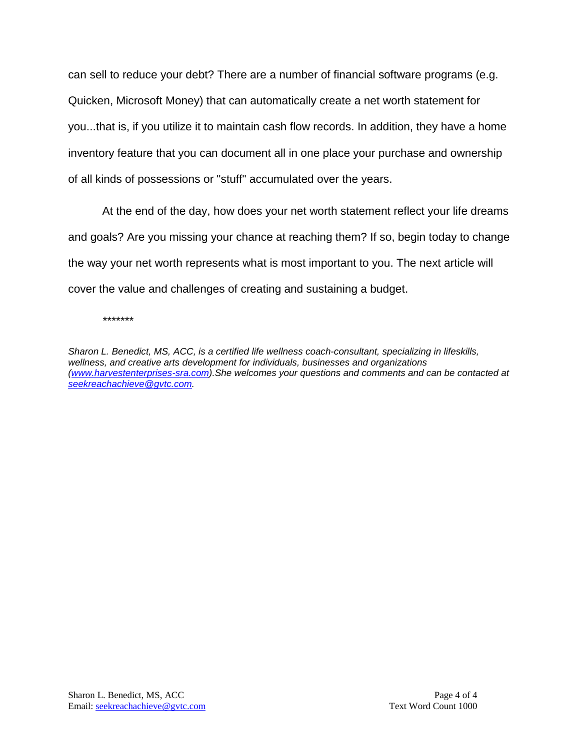can sell to reduce your debt? There are a number of financial software programs (e.g. Quicken, Microsoft Money) that can automatically create a net worth statement for you...that is, if you utilize it to maintain cash flow records. In addition, they have a home inventory feature that you can document all in one place your purchase and ownership of all kinds of possessions or "stuff" accumulated over the years.

At the end of the day, how does your net worth statement reflect your life dreams and goals? Are you missing your chance at reaching them? If so, begin today to change the way your net worth represents what is most important to you. The next article will cover the value and challenges of creating and sustaining a budget.

*\*\*\*\*\*\*\**

*Sharon L. Benedict, MS, ACC, is a certified life wellness coach-consultant, specializing in lifeskills, wellness, and creative arts development for individuals, businesses and organizations [\(www.harvestenterprises-sra.com\)](http://www.harvestenterprises-sra.com/).She welcomes your questions and comments and can be contacted at [seekreachachieve@gvtc.com.](mailto:seekreachachieve@gvtc.com)*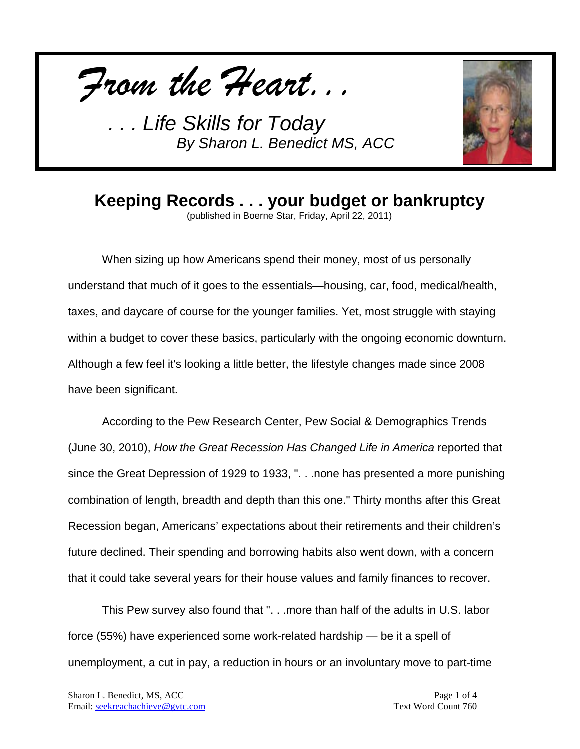*From the Heart...*



## **Keeping Records . . . your budget or bankruptcy**

(published in Boerne Star, Friday, April 22, 2011)

When sizing up how Americans spend their money, most of us personally understand that much of it goes to the essentials—housing, car, food, medical/health, taxes, and daycare of course for the younger families. Yet, most struggle with staying within a budget to cover these basics, particularly with the ongoing economic downturn. Although a few feel it's looking a little better, the lifestyle changes made since 2008 have been significant.

According to the Pew Research Center, Pew Social & Demographics Trends (June 30, 2010), *How the Great Recession Has Changed Life in America* reported that since the Great Depression of 1929 to 1933, ". . .none has presented a more punishing combination of length, breadth and depth than this one." Thirty months after this Great Recession began, Americans' expectations about their retirements and their children's future declined. Their spending and borrowing habits also went down, with a concern that it could take several years for their house values and family finances to recover.

This Pew survey also found that ". . .more than half of the adults in U.S. labor force (55%) have experienced some work-related hardship — be it a spell of unemployment, a cut in pay, a reduction in hours or an involuntary move to part-time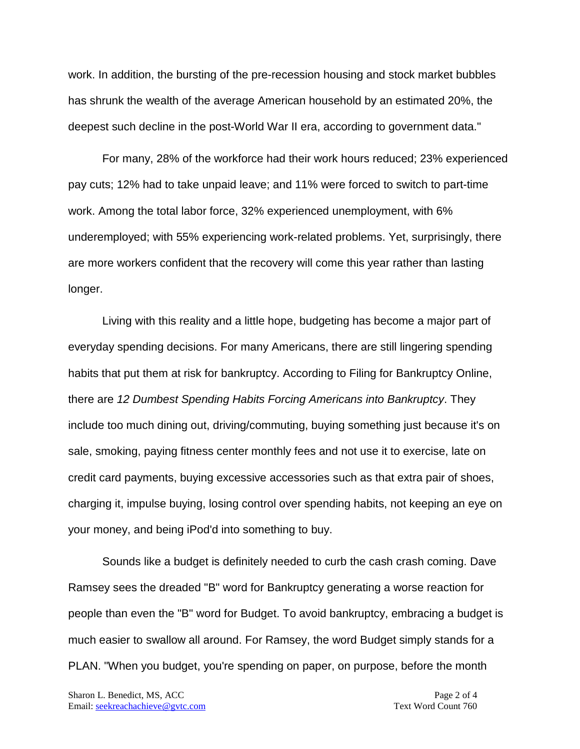work. In addition, the bursting of the pre-recession housing and stock market bubbles has shrunk the wealth of the average American household by an estimated 20%, the deepest such decline in the post-World War II era, according to government data."

For many, 28% of the workforce had their work hours reduced; 23% experienced pay cuts; 12% had to take unpaid leave; and 11% were forced to switch to part-time work. Among the total labor force, 32% experienced unemployment, with 6% underemployed; with 55% experiencing work-related problems. Yet, surprisingly, there are more workers confident that the recovery will come this year rather than lasting longer.

Living with this reality and a little hope, budgeting has become a major part of everyday spending decisions. For many Americans, there are still lingering spending habits that put them at risk for bankruptcy. According to Filing for Bankruptcy Online, there are *12 Dumbest Spending Habits Forcing Americans into Bankruptcy*. They include too much dining out, driving/commuting, buying something just because it's on sale, smoking, paying fitness center monthly fees and not use it to exercise, late on credit card payments, buying excessive accessories such as that extra pair of shoes, charging it, impulse buying, losing control over spending habits, not keeping an eye on your money, and being iPod'd into something to buy.

Sounds like a budget is definitely needed to curb the cash crash coming. Dave Ramsey sees the dreaded "B" word for Bankruptcy generating a worse reaction for people than even the "B" word for Budget. To avoid bankruptcy, embracing a budget is much easier to swallow all around. For Ramsey, the word Budget simply stands for a PLAN. "When you budget, you're spending on paper, on purpose, before the month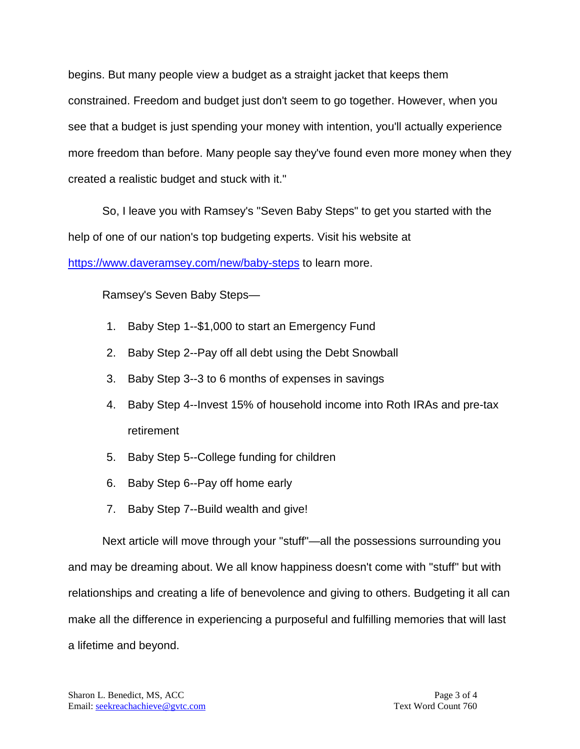begins. But many people view a budget as a straight jacket that keeps them constrained. Freedom and budget just don't seem to go together. However, when you see that a budget is just spending your money with intention, you'll actually experience more freedom than before. Many people say they've found even more money when they created a realistic budget and stuck with it."

So, I leave you with Ramsey's "Seven Baby Steps" to get you started with the help of one of our nation's top budgeting experts. Visit his website at <https://www.daveramsey.com/new/baby-steps> to learn more.

Ramsey's Seven Baby Steps—

- 1. Baby Step 1--\$1,000 to start an Emergency Fund
- 2. Baby Step 2--Pay off all debt using the Debt Snowball
- 3. Baby Step 3--3 to 6 months of expenses in savings
- 4. Baby Step 4--Invest 15% of household income into Roth IRAs and pre-tax retirement
- 5. Baby Step 5--College funding for children
- 6. Baby Step 6--Pay off home early
- 7. Baby Step 7--Build wealth and give!

Next article will move through your "stuff"—all the possessions surrounding you and may be dreaming about. We all know happiness doesn't come with "stuff" but with relationships and creating a life of benevolence and giving to others. Budgeting it all can make all the difference in experiencing a purposeful and fulfilling memories that will last a lifetime and beyond.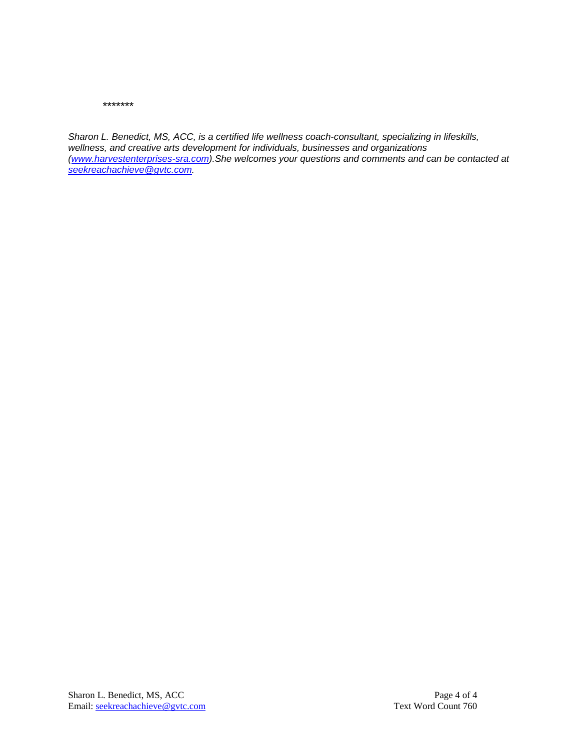*\*\*\*\*\*\*\**

*Sharon L. Benedict, MS, ACC, is a certified life wellness coach-consultant, specializing in lifeskills, wellness, and creative arts development for individuals, businesses and organizations [\(www.harvestenterprises-sra.com\)](http://www.harvestenterprises-sra.com/).She welcomes your questions and comments and can be contacted at [seekreachachieve@gvtc.com.](mailto:seekreachachieve@gvtc.com)*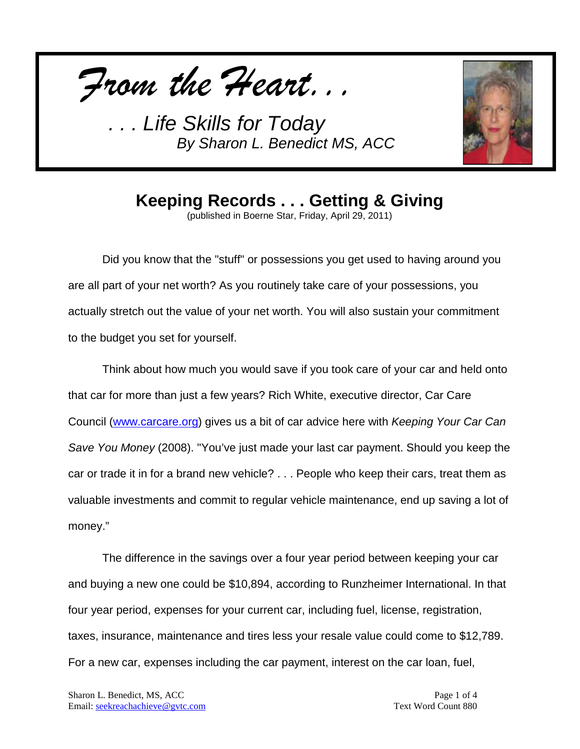*From the Heart...*



**Keeping Records . . . Getting & Giving**

(published in Boerne Star, Friday, April 29, 2011)

Did you know that the "stuff" or possessions you get used to having around you are all part of your net worth? As you routinely take care of your possessions, you actually stretch out the value of your net worth. You will also sustain your commitment to the budget you set for yourself.

Think about how much you would save if you took care of your car and held onto that car for more than just a few years? Rich White, executive director, Car Care Council [\(www.carcare.org\)](http://www.carcare.org/) gives us a bit of car advice here with *Keeping Your Car Can Save You Money* (2008). "You've just made your last car payment. Should you keep the car or trade it in for a brand new vehicle? . . . People who keep their cars, treat them as valuable investments and commit to regular vehicle maintenance, end up saving a lot of money."

The difference in the savings over a four year period between keeping your car and buying a new one could be \$10,894, according to Runzheimer International. In that four year period, expenses for your current car, including fuel, license, registration, taxes, insurance, maintenance and tires less your resale value could come to \$12,789. For a new car, expenses including the car payment, interest on the car loan, fuel,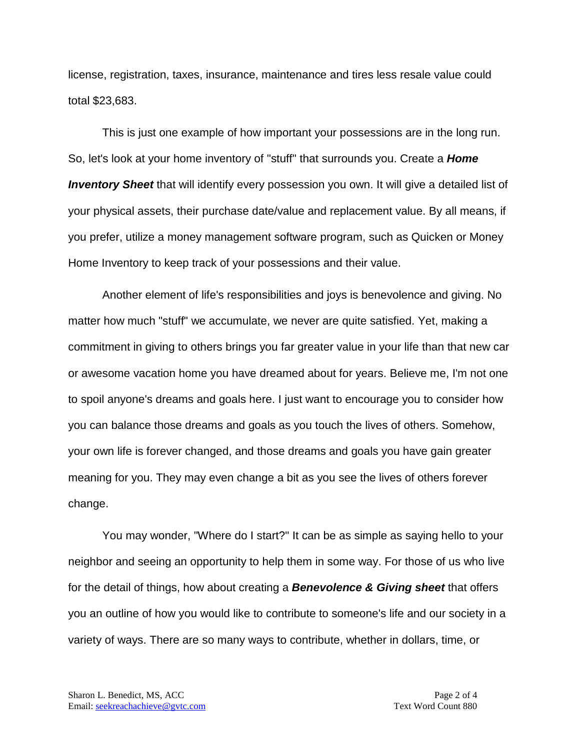license, registration, taxes, insurance, maintenance and tires less resale value could total \$23,683.

This is just one example of how important your possessions are in the long run. So, let's look at your home inventory of "stuff" that surrounds you. Create a *Home Inventory Sheet* that will identify every possession you own. It will give a detailed list of your physical assets, their purchase date/value and replacement value. By all means, if you prefer, utilize a money management software program, such as Quicken or Money Home Inventory to keep track of your possessions and their value.

Another element of life's responsibilities and joys is benevolence and giving. No matter how much "stuff" we accumulate, we never are quite satisfied. Yet, making a commitment in giving to others brings you far greater value in your life than that new car or awesome vacation home you have dreamed about for years. Believe me, I'm not one to spoil anyone's dreams and goals here. I just want to encourage you to consider how you can balance those dreams and goals as you touch the lives of others. Somehow, your own life is forever changed, and those dreams and goals you have gain greater meaning for you. They may even change a bit as you see the lives of others forever change.

You may wonder, "Where do I start?" It can be as simple as saying hello to your neighbor and seeing an opportunity to help them in some way. For those of us who live for the detail of things, how about creating a *Benevolence & Giving sheet* that offers you an outline of how you would like to contribute to someone's life and our society in a variety of ways. There are so many ways to contribute, whether in dollars, time, or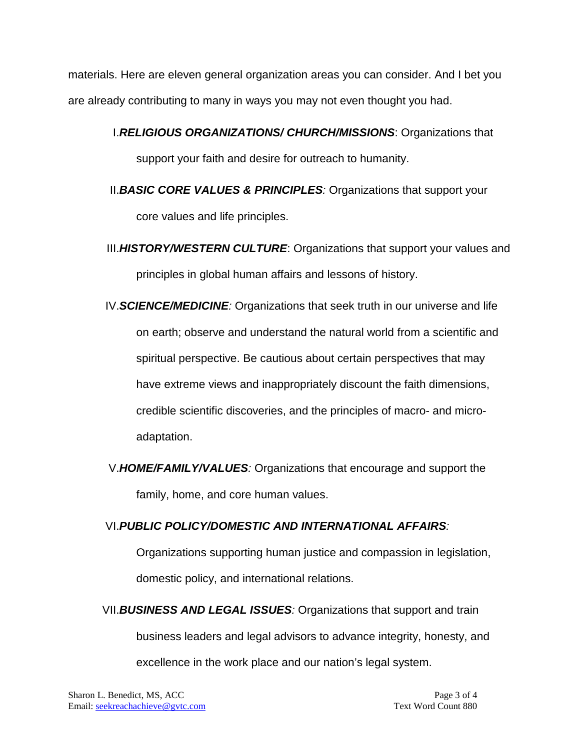materials. Here are eleven general organization areas you can consider. And I bet you are already contributing to many in ways you may not even thought you had.

I.*RELIGIOUS ORGANIZATIONS/ CHURCH/MISSIONS*: Organizations that

support your faith and desire for outreach to humanity.

- II.*BASIC CORE VALUES & PRINCIPLES:* Organizations that support your core values and life principles.
- III.*HISTORY/WESTERN CULTURE*: Organizations that support your values and principles in global human affairs and lessons of history.
- IV.*SCIENCE/MEDICINE:* Organizations that seek truth in our universe and life on earth; observe and understand the natural world from a scientific and spiritual perspective. Be cautious about certain perspectives that may have extreme views and inappropriately discount the faith dimensions, credible scientific discoveries, and the principles of macro- and microadaptation.
- V.*HOME/FAMILY/VALUES:* Organizations that encourage and support the family, home, and core human values.

#### VI.*PUBLIC POLICY/DOMESTIC AND INTERNATIONAL AFFAIRS:*

Organizations supporting human justice and compassion in legislation, domestic policy, and international relations.

VII.*BUSINESS AND LEGAL ISSUES:* Organizations that support and train business leaders and legal advisors to advance integrity, honesty, and excellence in the work place and our nation's legal system.